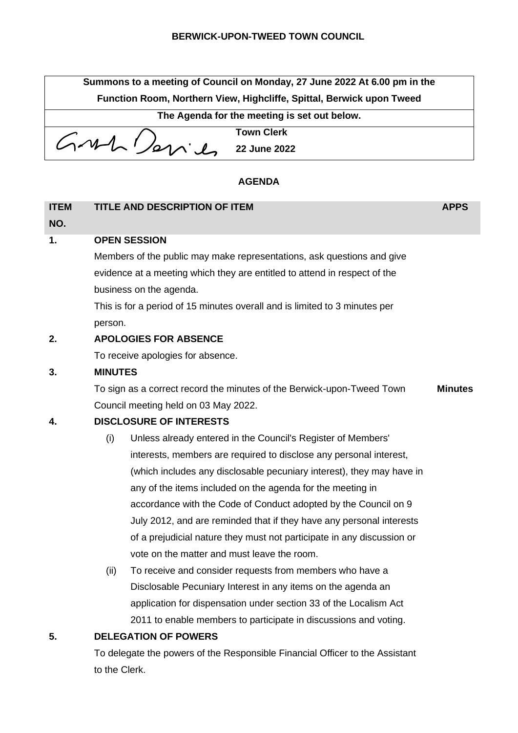| Summons to a meeting of Council on Monday, 27 June 2022 At 6.00 pm in the |                   |  |  |  |
|---------------------------------------------------------------------------|-------------------|--|--|--|
| Function Room, Northern View, Highcliffe, Spittal, Berwick upon Tweed     |                   |  |  |  |
| The Agenda for the meeting is set out below.                              |                   |  |  |  |
|                                                                           | <b>Town Clerk</b> |  |  |  |
| GML/2                                                                     |                   |  |  |  |

## **AGENDA**

| <b>ITEM</b><br>NO. | <b>TITLE AND DESCRIPTION OF ITEM</b>                                       | <b>APPS</b>    |  |  |  |
|--------------------|----------------------------------------------------------------------------|----------------|--|--|--|
| 1.                 | <b>OPEN SESSION</b>                                                        |                |  |  |  |
|                    | Members of the public may make representations, ask questions and give     |                |  |  |  |
|                    | evidence at a meeting which they are entitled to attend in respect of the  |                |  |  |  |
|                    | business on the agenda.                                                    |                |  |  |  |
|                    | This is for a period of 15 minutes overall and is limited to 3 minutes per |                |  |  |  |
|                    | person.                                                                    |                |  |  |  |
| 2.                 | <b>APOLOGIES FOR ABSENCE</b>                                               |                |  |  |  |
|                    | To receive apologies for absence.                                          |                |  |  |  |
| 3.                 | <b>MINUTES</b>                                                             |                |  |  |  |
|                    | To sign as a correct record the minutes of the Berwick-upon-Tweed Town     | <b>Minutes</b> |  |  |  |
|                    | Council meeting held on 03 May 2022.                                       |                |  |  |  |
| $\overline{ }$     | DICCLOSIDE OF INTERFETC                                                    |                |  |  |  |

- **4. DISCLOSURE OF INTERESTS**
	- (i) Unless already entered in the Council's Register of Members' interests, members are required to disclose any personal interest, (which includes any disclosable pecuniary interest), they may have in any of the items included on the agenda for the meeting in accordance with the Code of Conduct adopted by the Council on 9 July 2012, and are reminded that if they have any personal interests of a prejudicial nature they must not participate in any discussion or vote on the matter and must leave the room.
	- (ii) To receive and consider requests from members who have a Disclosable Pecuniary Interest in any items on the agenda an application for dispensation under section 33 of the Localism Act 2011 to enable members to participate in discussions and voting.

# **5. DELEGATION OF POWERS**

To delegate the powers of the Responsible Financial Officer to the Assistant to the Clerk.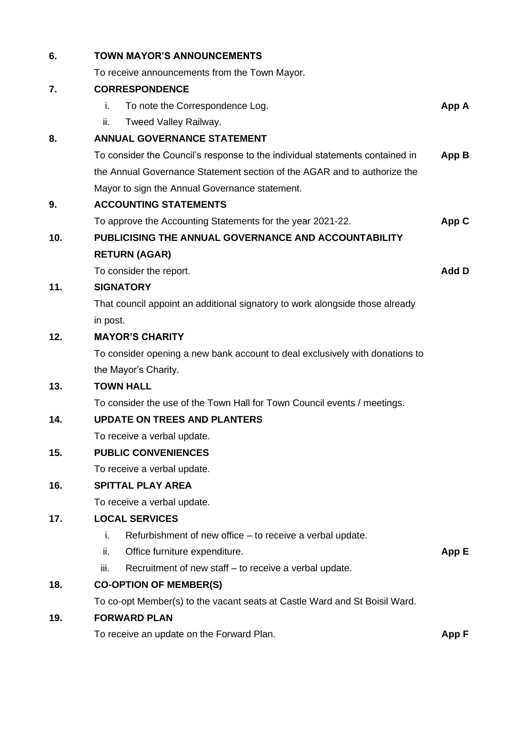| 6.  | <b>TOWN MAYOR'S ANNOUNCEMENTS</b>                                            |       |  |  |  |
|-----|------------------------------------------------------------------------------|-------|--|--|--|
|     | To receive announcements from the Town Mayor.                                |       |  |  |  |
| 7.  | <b>CORRESPONDENCE</b>                                                        |       |  |  |  |
|     | i.<br>To note the Correspondence Log.                                        | App A |  |  |  |
|     | ii.<br>Tweed Valley Railway.                                                 |       |  |  |  |
| 8.  | <b>ANNUAL GOVERNANCE STATEMENT</b>                                           |       |  |  |  |
|     | To consider the Council's response to the individual statements contained in | App B |  |  |  |
|     | the Annual Governance Statement section of the AGAR and to authorize the     |       |  |  |  |
|     | Mayor to sign the Annual Governance statement.                               |       |  |  |  |
| 9.  | <b>ACCOUNTING STATEMENTS</b>                                                 |       |  |  |  |
|     | To approve the Accounting Statements for the year 2021-22.<br>App C          |       |  |  |  |
| 10. | PUBLICISING THE ANNUAL GOVERNANCE AND ACCOUNTABILITY                         |       |  |  |  |
|     | <b>RETURN (AGAR)</b>                                                         |       |  |  |  |
|     | To consider the report.                                                      |       |  |  |  |
| 11. | <b>SIGNATORY</b>                                                             |       |  |  |  |
|     | That council appoint an additional signatory to work alongside those already |       |  |  |  |
|     | in post.                                                                     |       |  |  |  |
| 12. | <b>MAYOR'S CHARITY</b>                                                       |       |  |  |  |
|     | To consider opening a new bank account to deal exclusively with donations to |       |  |  |  |
|     | the Mayor's Charity.                                                         |       |  |  |  |
| 13. | <b>TOWN HALL</b>                                                             |       |  |  |  |
|     | To consider the use of the Town Hall for Town Council events / meetings.     |       |  |  |  |
| 14. | <b>UPDATE ON TREES AND PLANTERS</b>                                          |       |  |  |  |
|     | To receive a verbal update.                                                  |       |  |  |  |
| 15. | <b>PUBLIC CONVENIENCES</b>                                                   |       |  |  |  |
|     | To receive a verbal update.                                                  |       |  |  |  |
| 16. | <b>SPITTAL PLAY AREA</b>                                                     |       |  |  |  |
|     | To receive a verbal update.                                                  |       |  |  |  |
| 17. | <b>LOCAL SERVICES</b>                                                        |       |  |  |  |
|     | j.<br>Refurbishment of new office – to receive a verbal update.              |       |  |  |  |
|     | ii.<br>Office furniture expenditure.                                         | App E |  |  |  |
|     | iii.<br>Recruitment of new staff – to receive a verbal update.               |       |  |  |  |
| 18. | <b>CO-OPTION OF MEMBER(S)</b>                                                |       |  |  |  |
|     | To co-opt Member(s) to the vacant seats at Castle Ward and St Boisil Ward.   |       |  |  |  |
| 19. | <b>FORWARD PLAN</b>                                                          |       |  |  |  |
|     | To receive an update on the Forward Plan.                                    | App F |  |  |  |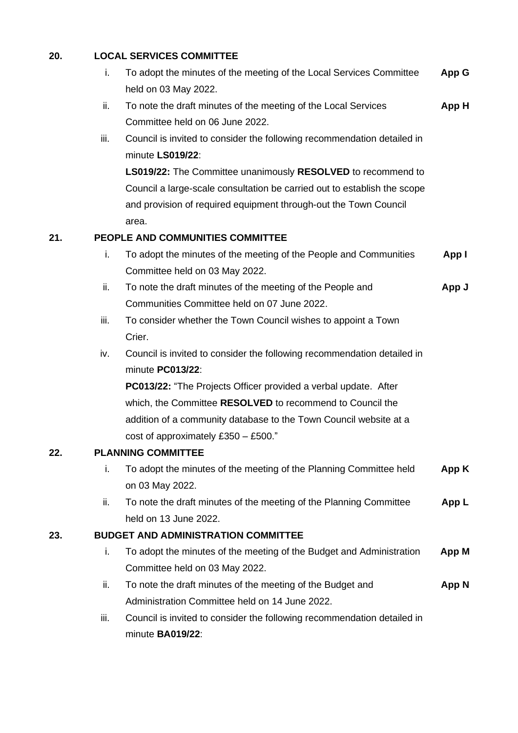# **20. LOCAL SERVICES COMMITTEE**

|     | i.   | To adopt the minutes of the meeting of the Local Services Committee      | App G        |  |  |  |
|-----|------|--------------------------------------------------------------------------|--------------|--|--|--|
|     |      | held on 03 May 2022.                                                     |              |  |  |  |
|     | ii.  | To note the draft minutes of the meeting of the Local Services           | App H        |  |  |  |
|     |      | Committee held on 06 June 2022.                                          |              |  |  |  |
|     | iii. | Council is invited to consider the following recommendation detailed in  |              |  |  |  |
|     |      | minute LS019/22:                                                         |              |  |  |  |
|     |      | <b>LS019/22:</b> The Committee unanimously RESOLVED to recommend to      |              |  |  |  |
|     |      | Council a large-scale consultation be carried out to establish the scope |              |  |  |  |
|     |      | and provision of required equipment through-out the Town Council         |              |  |  |  |
|     |      | area.                                                                    |              |  |  |  |
| 21. |      | PEOPLE AND COMMUNITIES COMMITTEE                                         |              |  |  |  |
|     | i.   | To adopt the minutes of the meeting of the People and Communities        | App I        |  |  |  |
|     |      | Committee held on 03 May 2022.                                           |              |  |  |  |
|     | ii.  | To note the draft minutes of the meeting of the People and               | App J        |  |  |  |
|     |      | Communities Committee held on 07 June 2022.                              |              |  |  |  |
|     | iii. | To consider whether the Town Council wishes to appoint a Town            |              |  |  |  |
|     |      | Crier.                                                                   |              |  |  |  |
|     | iv.  | Council is invited to consider the following recommendation detailed in  |              |  |  |  |
|     |      | minute PC013/22:                                                         |              |  |  |  |
|     |      | <b>PC013/22:</b> "The Projects Officer provided a verbal update. After   |              |  |  |  |
|     |      | which, the Committee RESOLVED to recommend to Council the                |              |  |  |  |
|     |      | addition of a community database to the Town Council website at a        |              |  |  |  |
|     |      | cost of approximately £350 $-$ £500."                                    |              |  |  |  |
| 22  |      | <b>PLANNING COMMITTEE</b>                                                |              |  |  |  |
|     | i.   | To adopt the minutes of the meeting of the Planning Committee held       | App K        |  |  |  |
|     |      | on 03 May 2022.                                                          |              |  |  |  |
|     | ii.  | To note the draft minutes of the meeting of the Planning Committee       | App L        |  |  |  |
|     |      | held on 13 June 2022.                                                    |              |  |  |  |
| 23. |      | <b>BUDGET AND ADMINISTRATION COMMITTEE</b>                               |              |  |  |  |
|     | i.   | To adopt the minutes of the meeting of the Budget and Administration     | <b>App M</b> |  |  |  |
|     |      | Committee held on 03 May 2022.                                           |              |  |  |  |
|     | ii.  | To note the draft minutes of the meeting of the Budget and               | <b>App N</b> |  |  |  |
|     |      | Administration Committee held on 14 June 2022.                           |              |  |  |  |
|     | iii. | Council is invited to consider the following recommendation detailed in  |              |  |  |  |
|     |      | minute BA019/22:                                                         |              |  |  |  |